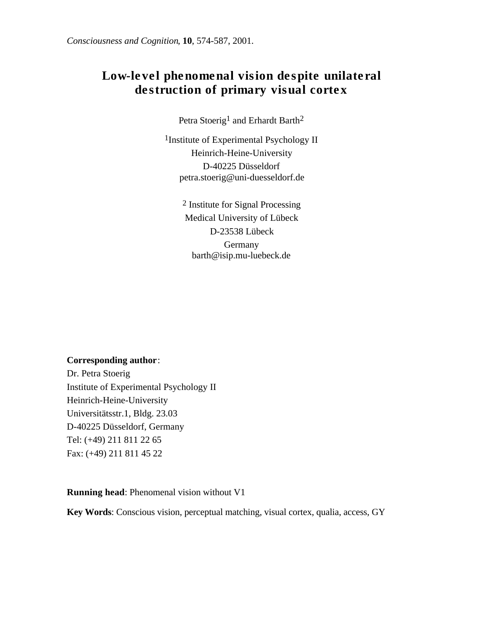# Low-level phenomenal vision despite unilateral destruction of primary visual cortex

Petra Stoerig<sup>1</sup> and Erhardt Barth<sup>2</sup>

1Institute of Experimental Psychology II Heinrich-Heine-University D-40225 Düsseldorf petra.stoerig@uni-duesseldorf.de

> 2 Institute for Signal Processing Medical University of Lübeck D-23538 Lübeck Germany barth@isip.mu-luebeck.de

#### **Corresponding author**:

Dr. Petra Stoerig Institute of Experimental Psychology II Heinrich-Heine-University Universitätsstr.1, Bldg. 23.03 D-40225 Düsseldorf, Germany Tel: (+49) 211 811 22 65 Fax: (+49) 211 811 45 22

**Running head**: Phenomenal vision without V1

**Key Words**: Conscious vision, perceptual matching, visual cortex, qualia, access, GY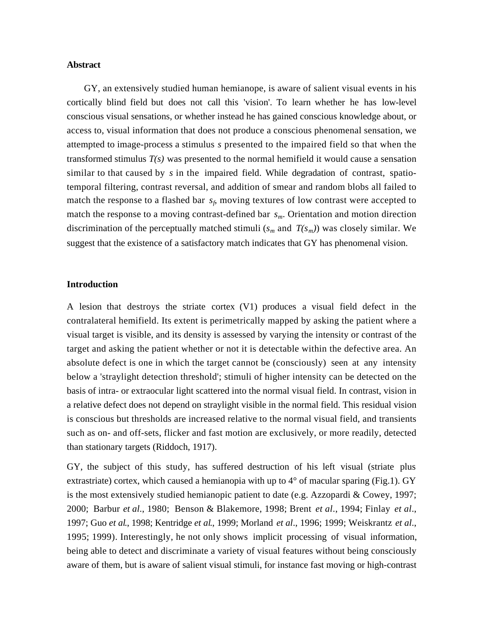## **Abstract**

GY, an extensively studied human hemianope, is aware of salient visual events in his cortically blind field but does not call this 'vision'. To learn whether he has low-level conscious visual sensations, or whether instead he has gained conscious knowledge about, or access to, visual information that does not produce a conscious phenomenal sensation, we attempted to image-process a stimulus *s* presented to the impaired field so that when the transformed stimulus *T(s)* was presented to the normal hemifield it would cause a sensation similar to that caused by *s* in the impaired field. While degradation of contrast, spatiotemporal filtering, contrast reversal, and addition of smear and random blobs all failed to match the response to a flashed bar *s<sup>f</sup>* , moving textures of low contrast were accepted to match the response to a moving contrast-defined bar *sm*. Orientation and motion direction discrimination of the perceptually matched stimuli  $(s_m$  and  $T(s_m)$ ) was closely similar. We suggest that the existence of a satisfactory match indicates that GY has phenomenal vision.

#### **Introduction**

A lesion that destroys the striate cortex (V1) produces a visual field defect in the contralateral hemifield. Its extent is perimetrically mapped by asking the patient where a visual target is visible, and its density is assessed by varying the intensity or contrast of the target and asking the patient whether or not it is detectable within the defective area. An absolute defect is one in which the target cannot be (consciously) seen at any intensity below a 'straylight detection threshold'; stimuli of higher intensity can be detected on the basis of intra- or extraocular light scattered into the normal visual field. In contrast, vision in a relative defect does not depend on straylight visible in the normal field. This residual vision is conscious but thresholds are increased relative to the normal visual field, and transients such as on- and off-sets, flicker and fast motion are exclusively, or more readily, detected than stationary targets (Riddoch, 1917).

GY, the subject of this study, has suffered destruction of his left visual (striate plus extrastriate) cortex, which caused a hemianopia with up to  $4^{\circ}$  of macular sparing (Fig.1). GY is the most extensively studied hemianopic patient to date (e.g. Azzopardi & Cowey, 1997; 2000; Barbur *et al*., 1980; Benson & Blakemore, 1998; Brent *et al*., 1994; Finlay *et al*., 1997; Guo *et al*., 1998; Kentridge *et al*., 1999; Morland *et al*., 1996; 1999; Weiskrantz *et al*., 1995; 1999). Interestingly, he not only shows implicit processing of visual information, being able to detect and discriminate a variety of visual features without being consciously aware of them, but is aware of salient visual stimuli, for instance fast moving or high-contrast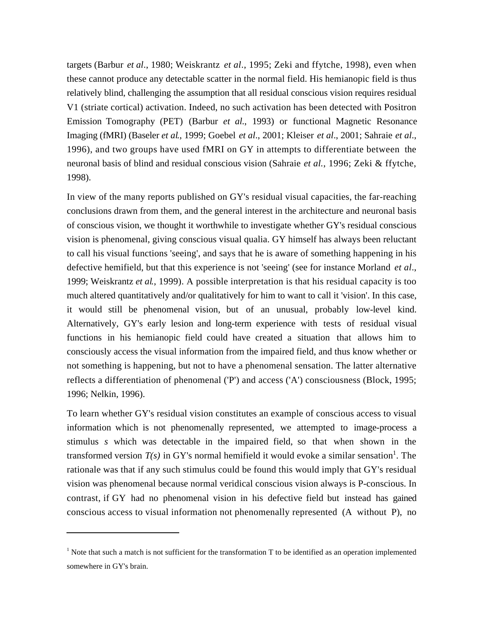targets (Barbur *et al*., 1980; Weiskrantz *et al*., 1995; Zeki and ffytche, 1998), even when these cannot produce any detectable scatter in the normal field. His hemianopic field is thus relatively blind, challenging the assumption that all residual conscious vision requires residual V1 (striate cortical) activation. Indeed, no such activation has been detected with Positron Emission Tomography (PET) (Barbur *et al*., 1993) or functional Magnetic Resonance Imaging (fMRI) (Baseler *et al*., 1999; Goebel *et al*., 2001; Kleiser *et al*., 2001; Sahraie *et al*., 1996), and two groups have used fMRI on GY in attempts to differentiate between the neuronal basis of blind and residual conscious vision (Sahraie *et al.*, 1996; Zeki & ffytche, 1998).

In view of the many reports published on GY's residual visual capacities, the far-reaching conclusions drawn from them, and the general interest in the architecture and neuronal basis of conscious vision, we thought it worthwhile to investigate whether GY's residual conscious vision is phenomenal, giving conscious visual qualia. GY himself has always been reluctant to call his visual functions 'seeing', and says that he is aware of something happening in his defective hemifield, but that this experience is not 'seeing' (see for instance Morland *et al*., 1999; Weiskrantz *et al*., 1999). A possible interpretation is that his residual capacity is too much altered quantitatively and/or qualitatively for him to want to call it 'vision'. In this case, it would still be phenomenal vision, but of an unusual, probably low-level kind. Alternatively, GY's early lesion and long-term experience with tests of residual visual functions in his hemianopic field could have created a situation that allows him to consciously access the visual information from the impaired field, and thus know whether or not something is happening, but not to have a phenomenal sensation. The latter alternative reflects a differentiation of phenomenal ('P') and access ('A') consciousness (Block, 1995; 1996; Nelkin, 1996).

To learn whether GY's residual vision constitutes an example of conscious access to visual information which is not phenomenally represented, we attempted to image-process a stimulus *s* which was detectable in the impaired field, so that when shown in the transformed version  $T(s)$  in GY's normal hemifield it would evoke a similar sensation<sup>1</sup>. The rationale was that if any such stimulus could be found this would imply that GY's residual vision was phenomenal because normal veridical conscious vision always is P-conscious. In contrast, if GY had no phenomenal vision in his defective field but instead has gained conscious access to visual information not phenomenally represented (A without P), no

j

 $1$  Note that such a match is not sufficient for the transformation T to be identified as an operation implemented somewhere in GY's brain.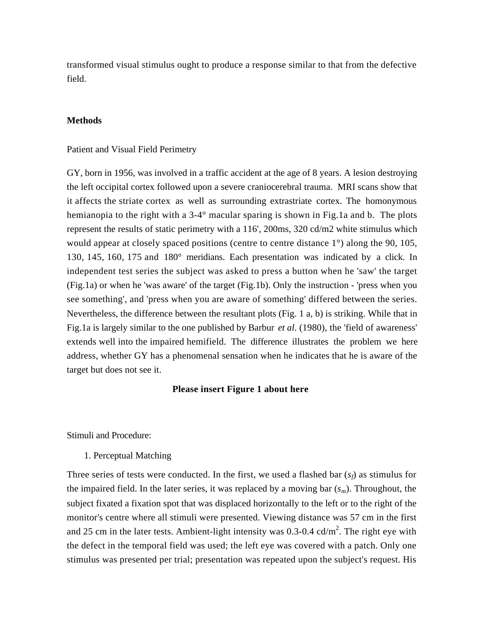transformed visual stimulus ought to produce a response similar to that from the defective field.

## **Methods**

#### Patient and Visual Field Perimetry

GY, born in 1956, was involved in a traffic accident at the age of 8 years. A lesion destroying the left occipital cortex followed upon a severe craniocerebral trauma. MRI scans show that it affects the striate cortex as well as surrounding extrastriate cortex. The homonymous hemianopia to the right with a 3-4° macular sparing is shown in Fig.1a and b. The plots represent the results of static perimetry with a 116', 200ms, 320 cd/m2 white stimulus which would appear at closely spaced positions (centre to centre distance 1<sup>o</sup>) along the 90, 105, 130, 145, 160, 175 and 180° meridians. Each presentation was indicated by a click. In independent test series the subject was asked to press a button when he 'saw' the target (Fig.1a) or when he 'was aware' of the target (Fig.1b). Only the instruction - 'press when you see something', and 'press when you are aware of something' differed between the series. Nevertheless, the difference between the resultant plots (Fig. 1 a, b) is striking. While that in Fig.1a is largely similar to the one published by Barbur *et al*. (1980), the 'field of awareness' extends well into the impaired hemifield. The difference illustrates the problem we here address, whether GY has a phenomenal sensation when he indicates that he is aware of the target but does not see it.

#### **Please insert Figure 1 about here**

## Stimuli and Procedure:

1. Perceptual Matching

Three series of tests were conducted. In the first, we used a flashed bar  $(s_f)$  as stimulus for the impaired field. In the later series, it was replaced by a moving bar (*sm*). Throughout, the subject fixated a fixation spot that was displaced horizontally to the left or to the right of the monitor's centre where all stimuli were presented. Viewing distance was 57 cm in the first and 25 cm in the later tests. Ambient-light intensity was 0.3-0.4 cd/ $m^2$ . The right eye with the defect in the temporal field was used; the left eye was covered with a patch. Only one stimulus was presented per trial; presentation was repeated upon the subject's request. His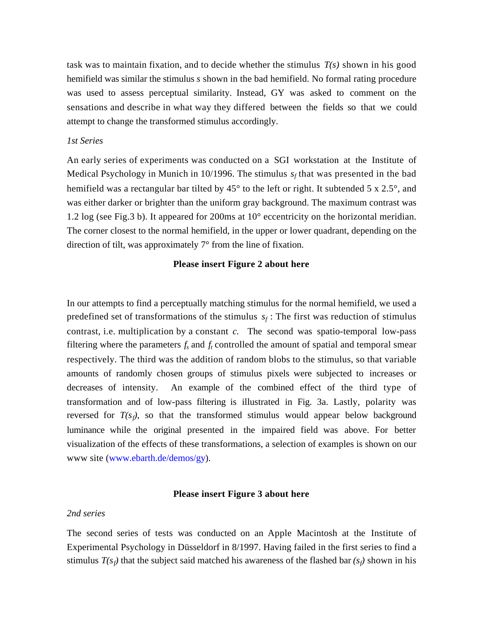task was to maintain fixation, and to decide whether the stimulus *T(s)* shown in his good hemifield was similar the stimulus *s* shown in the bad hemifield. No formal rating procedure was used to assess perceptual similarity. Instead, GY was asked to comment on the sensations and describe in what way they differed between the fields so that we could attempt to change the transformed stimulus accordingly.

#### *1st Series*

An early series of experiments was conducted on a SGI workstation at the Institute of Medical Psychology in Munich in 10/1996. The stimulus  $s_f$  that was presented in the bad hemifield was a rectangular bar tilted by 45° to the left or right. It subtended 5 x 2.5°, and was either darker or brighter than the uniform gray background. The maximum contrast was 1.2 log (see Fig.3 b). It appeared for 200ms at 10° eccentricity on the horizontal meridian. The corner closest to the normal hemifield, in the upper or lower quadrant, depending on the direction of tilt, was approximately 7° from the line of fixation.

## **Please insert Figure 2 about here**

In our attempts to find a perceptually matching stimulus for the normal hemifield, we used a predefined set of transformations of the stimulus  $s_f$ : The first was reduction of stimulus contrast, i.e. multiplication by a constant *c*. The second was spatio-temporal low-pass filtering where the parameters  $f_s$  and  $f_t$  controlled the amount of spatial and temporal smear respectively. The third was the addition of random blobs to the stimulus, so that variable amounts of randomly chosen groups of stimulus pixels were subjected to increases or decreases of intensity. An example of the combined effect of the third type of transformation and of low-pass filtering is illustrated in Fig. 3a. Lastly, polarity was reversed for  $T(s_f)$ , so that the transformed stimulus would appear below background luminance while the original presented in the impaired field was above. For better visualization of the effects of these transformations, a selection of examples is shown on our www site (www.ebarth.de/demos/gy).

#### **Please insert Figure 3 about here**

#### *2nd series*

The second series of tests was conducted on an Apple Macintosh at the Institute of Experimental Psychology in Düsseldorf in 8/1997. Having failed in the first series to find a stimulus  $T(s_f)$  that the subject said matched his awareness of the flashed bar  $(s_f)$  shown in his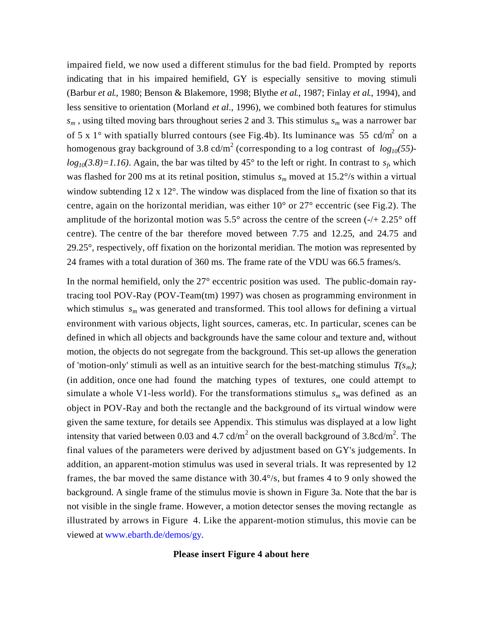impaired field, we now used a different stimulus for the bad field. Prompted by reports indicating that in his impaired hemifield, GY is especially sensitive to moving stimuli (Barbur *et al*., 1980; Benson & Blakemore, 1998; Blythe *et al*., 1987; Finlay *et al*., 1994), and less sensitive to orientation (Morland *et al*., 1996), we combined both features for stimulus  $s_m$ , using tilted moving bars throughout series 2 and 3. This stimulus  $s_m$  was a narrower bar of 5 x 1° with spatially blurred contours (see Fig.4b). Its luminance was 55 cd/m<sup>2</sup> on a homogenous gray background of 3.8 cd/m<sup>2</sup> (corresponding to a log contrast of *log<sub>10</sub>*(55) $log_{10}(3.8) = 1.16$ ). Again, the bar was tilted by 45° to the left or right. In contrast to  $s_f$  which was flashed for 200 ms at its retinal position, stimulus *sm* moved at 15.2°/s within a virtual window subtending 12 x 12°. The window was displaced from the line of fixation so that its centre, again on the horizontal meridian, was either  $10^{\circ}$  or  $27^{\circ}$  eccentric (see Fig.2). The amplitude of the horizontal motion was  $5.5^{\circ}$  across the centre of the screen (-/+ 2.25° off centre). The centre of the bar therefore moved between 7.75 and 12.25, and 24.75 and 29.25°, respectively, off fixation on the horizontal meridian. The motion was represented by 24 frames with a total duration of 360 ms. The frame rate of the VDU was 66.5 frames/s.

In the normal hemifield, only the 27° eccentric position was used. The public-domain raytracing tool POV-Ray (POV-Team(tm) 1997) was chosen as programming environment in which stimulus  $s_m$  was generated and transformed. This tool allows for defining a virtual environment with various objects, light sources, cameras, etc. In particular, scenes can be defined in which all objects and backgrounds have the same colour and texture and, without motion, the objects do not segregate from the background. This set-up allows the generation of 'motion-only' stimuli as well as an intuitive search for the best-matching stimulus  $T(s_m)$ ; (in addition, once one had found the matching types of textures, one could attempt to simulate a whole V1-less world). For the transformations stimulus  $s_m$  was defined as an object in POV-Ray and both the rectangle and the background of its virtual window were given the same texture, for details see Appendix. This stimulus was displayed at a low light intensity that varied between 0.03 and 4.7 cd/m<sup>2</sup> on the overall background of 3.8cd/m<sup>2</sup>. The final values of the parameters were derived by adjustment based on GY's judgements. In addition, an apparent-motion stimulus was used in several trials. It was represented by 12 frames, the bar moved the same distance with 30.4°/s, but frames 4 to 9 only showed the background. A single frame of the stimulus movie is shown in Figure 3a. Note that the bar is not visible in the single frame. However, a motion detector senses the moving rectangle as illustrated by arrows in Figure 4. Like the apparent-motion stimulus, this movie can be viewed at www.ebarth.de/demos/gy.

## **Please insert Figure 4 about here**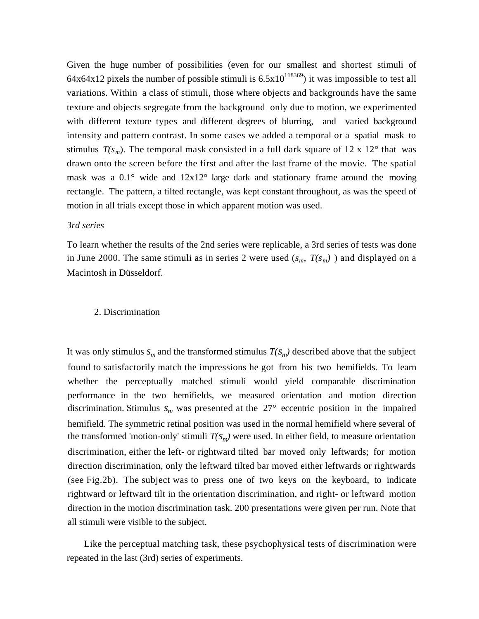Given the huge number of possibilities (even for our smallest and shortest stimuli of 64x64x12 pixels the number of possible stimuli is  $6.5x10^{118369}$ ) it was impossible to test all variations. Within a class of stimuli, those where objects and backgrounds have the same texture and objects segregate from the background only due to motion, we experimented with different texture types and different degrees of blurring, and varied background intensity and pattern contrast. In some cases we added a temporal or a spatial mask to stimulus  $T(s_m)$ . The temporal mask consisted in a full dark square of 12 x 12° that was drawn onto the screen before the first and after the last frame of the movie. The spatial mask was a  $0.1^{\circ}$  wide and  $12x12^{\circ}$  large dark and stationary frame around the moving rectangle. The pattern, a tilted rectangle, was kept constant throughout, as was the speed of motion in all trials except those in which apparent motion was used.

## *3rd series*

To learn whether the results of the 2nd series were replicable, a 3rd series of tests was done in June 2000. The same stimuli as in series 2 were used  $(s_m, T(s_m))$  and displayed on a Macintosh in Düsseldorf.

#### 2. Discrimination

It was only stimulus  $s_m$  and the transformed stimulus  $T(s_m)$  described above that the subject found to satisfactorily match the impressions he got from his two hemifields. To learn whether the perceptually matched stimuli would yield comparable discrimination performance in the two hemifields, we measured orientation and motion direction discrimination. Stimulus  $s_m$  was presented at the  $27^\circ$  eccentric position in the impaired hemifield. The symmetric retinal position was used in the normal hemifield where several of the transformed 'motion-only' stimuli  $T(s_m)$  were used. In either field, to measure orientation discrimination, either the left- or rightward tilted bar moved only leftwards; for motion direction discrimination, only the leftward tilted bar moved either leftwards or rightwards (see Fig.2b). The subject was to press one of two keys on the keyboard, to indicate rightward or leftward tilt in the orientation discrimination, and right- or leftward motion direction in the motion discrimination task. 200 presentations were given per run. Note that all stimuli were visible to the subject.

Like the perceptual matching task, these psychophysical tests of discrimination were repeated in the last (3rd) series of experiments.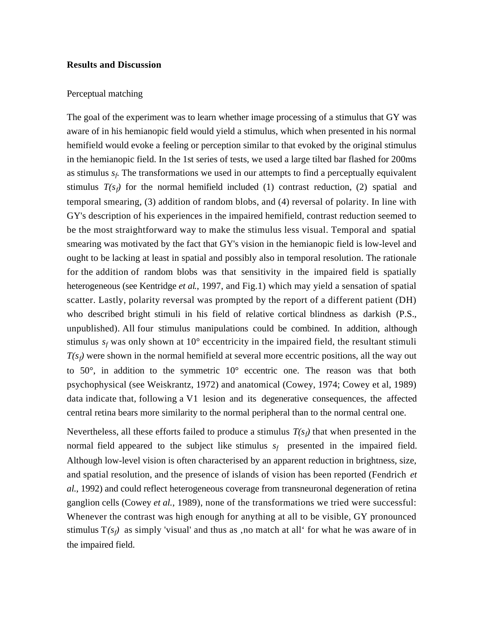#### **Results and Discussion**

#### Perceptual matching

The goal of the experiment was to learn whether image processing of a stimulus that GY was aware of in his hemianopic field would yield a stimulus, which when presented in his normal hemifield would evoke a feeling or perception similar to that evoked by the original stimulus in the hemianopic field. In the 1st series of tests, we used a large tilted bar flashed for 200ms as stimulus *s<sup>f</sup>* . The transformations we used in our attempts to find a perceptually equivalent stimulus  $T(s_f)$  for the normal hemifield included (1) contrast reduction, (2) spatial and temporal smearing, (3) addition of random blobs, and (4) reversal of polarity. In line with GY's description of his experiences in the impaired hemifield, contrast reduction seemed to be the most straightforward way to make the stimulus less visual. Temporal and spatial smearing was motivated by the fact that GY's vision in the hemianopic field is low-level and ought to be lacking at least in spatial and possibly also in temporal resolution. The rationale for the addition of random blobs was that sensitivity in the impaired field is spatially heterogeneous (see Kentridge *et al*., 1997, and Fig.1) which may yield a sensation of spatial scatter. Lastly, polarity reversal was prompted by the report of a different patient (DH) who described bright stimuli in his field of relative cortical blindness as darkish (P.S., unpublished). All four stimulus manipulations could be combined. In addition, although stimulus  $s_f$  was only shown at 10 $\degree$  eccentricity in the impaired field, the resultant stimuli  $T(s_f)$  were shown in the normal hemifield at several more eccentric positions, all the way out to  $50^{\circ}$ , in addition to the symmetric  $10^{\circ}$  eccentric one. The reason was that both psychophysical (see Weiskrantz, 1972) and anatomical (Cowey, 1974; Cowey et al, 1989) data indicate that, following a V1 lesion and its degenerative consequences, the affected central retina bears more similarity to the normal peripheral than to the normal central one.

Nevertheless, all these efforts failed to produce a stimulus  $T(s_f)$  that when presented in the normal field appeared to the subject like stimulus  $s_f$  presented in the impaired field. Although low-level vision is often characterised by an apparent reduction in brightness, size, and spatial resolution, and the presence of islands of vision has been reported (Fendrich *et al*., 1992) and could reflect heterogeneous coverage from transneuronal degeneration of retina ganglion cells (Cowey *et al.*, 1989), none of the transformations we tried were successful: Whenever the contrast was high enough for anything at all to be visible, GY pronounced stimulus  $T(s_f)$  as simply 'visual' and thus as , no match at all for what he was aware of in the impaired field.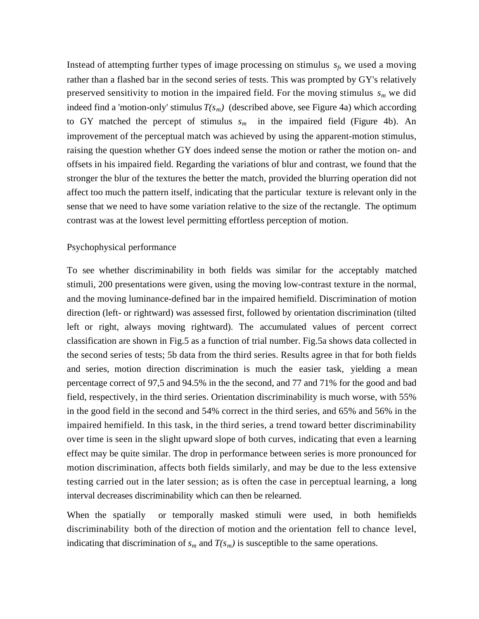Instead of attempting further types of image processing on stimulus  $s_f$ , we used a moving rather than a flashed bar in the second series of tests. This was prompted by GY's relatively preserved sensitivity to motion in the impaired field. For the moving stimulus *sm* we did indeed find a 'motion-only' stimulus  $T(s_m)$  (described above, see Figure 4a) which according to GY matched the percept of stimulus  $s_m$  in the impaired field (Figure 4b). An improvement of the perceptual match was achieved by using the apparent-motion stimulus, raising the question whether GY does indeed sense the motion or rather the motion on- and offsets in his impaired field. Regarding the variations of blur and contrast, we found that the stronger the blur of the textures the better the match, provided the blurring operation did not affect too much the pattern itself, indicating that the particular texture is relevant only in the sense that we need to have some variation relative to the size of the rectangle. The optimum contrast was at the lowest level permitting effortless perception of motion.

## Psychophysical performance

To see whether discriminability in both fields was similar for the acceptably matched stimuli, 200 presentations were given, using the moving low-contrast texture in the normal, and the moving luminance-defined bar in the impaired hemifield. Discrimination of motion direction (left- or rightward) was assessed first, followed by orientation discrimination (tilted left or right, always moving rightward). The accumulated values of percent correct classification are shown in Fig.5 as a function of trial number. Fig.5a shows data collected in the second series of tests; 5b data from the third series. Results agree in that for both fields and series, motion direction discrimination is much the easier task, yielding a mean percentage correct of 97,5 and 94.5% in the the second, and 77 and 71% for the good and bad field, respectively, in the third series. Orientation discriminability is much worse, with 55% in the good field in the second and 54% correct in the third series, and 65% and 56% in the impaired hemifield. In this task, in the third series, a trend toward better discriminability over time is seen in the slight upward slope of both curves, indicating that even a learning effect may be quite similar. The drop in performance between series is more pronounced for motion discrimination, affects both fields similarly, and may be due to the less extensive testing carried out in the later session; as is often the case in perceptual learning, a long interval decreases discriminability which can then be relearned.

When the spatially or temporally masked stimuli were used, in both hemifields discriminability both of the direction of motion and the orientation fell to chance level, indicating that discrimination of  $s_m$  and  $T(s_m)$  is susceptible to the same operations.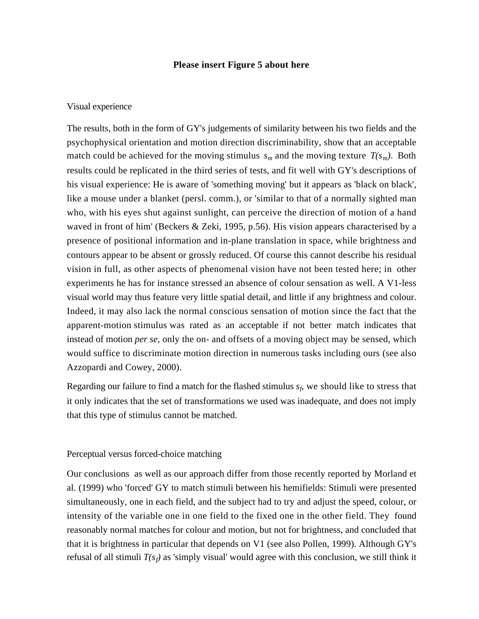#### **Please insert Figure 5 about here**

#### Visual experience

The results, both in the form of GY's judgements of similarity between his two fields and the psychophysical orientation and motion direction discriminability, show that an acceptable match could be achieved for the moving stimulus  $s_m$  and the moving texture  $T(s_m)$ . Both results could be replicated in the third series of tests, and fit well with GY's descriptions of his visual experience: He is aware of 'something moving' but it appears as 'black on black', like a mouse under a blanket (persl. comm.), or 'similar to that of a normally sighted man who, with his eyes shut against sunlight, can perceive the direction of motion of a hand waved in front of him' (Beckers & Zeki, 1995, p.56). His vision appears characterised by a presence of positional information and in-plane translation in space, while brightness and contours appear to be absent or grossly reduced. Of course this cannot describe his residual vision in full, as other aspects of phenomenal vision have not been tested here; in other experiments he has for instance stressed an absence of colour sensation as well. A V1-less visual world may thus feature very little spatial detail, and little if any brightness and colour. Indeed, it may also lack the normal conscious sensation of motion since the fact that the apparent-motion stimulus was rated as an acceptable if not better match indicates that instead of motion *per se*, only the on- and offsets of a moving object may be sensed, which would suffice to discriminate motion direction in numerous tasks including ours (see also Azzopardi and Cowey, 2000).

Regarding our failure to find a match for the flashed stimulus *s<sup>f</sup>* , we should like to stress that it only indicates that the set of transformations we used was inadequate, and does not imply that this type of stimulus cannot be matched.

#### Perceptual versus forced-choice matching

Our conclusions as well as our approach differ from those recently reported by Morland et al. (1999) who 'forced' GY to match stimuli between his hemifields: Stimuli were presented simultaneously, one in each field, and the subject had to try and adjust the speed, colour, or intensity of the variable one in one field to the fixed one in the other field. They found reasonably normal matches for colour and motion, but not for brightness, and concluded that that it is brightness in particular that depends on V1 (see also Pollen, 1999). Although GY's refusal of all stimuli  $T(s_f)$  as 'simply visual' would agree with this conclusion, we still think it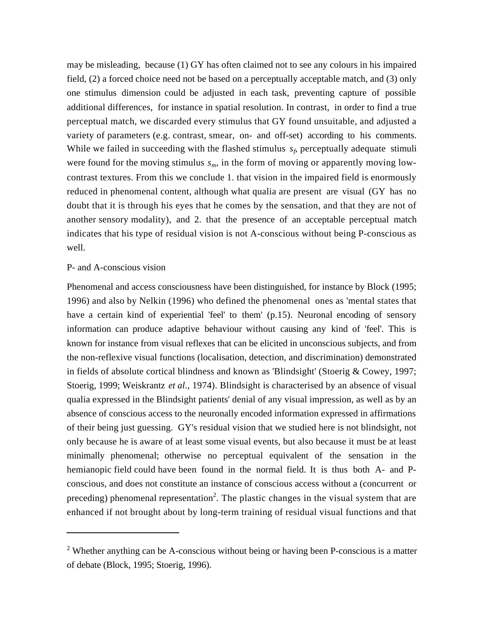may be misleading, because (1) GY has often claimed not to see any colours in his impaired field, (2) a forced choice need not be based on a perceptually acceptable match, and (3) only one stimulus dimension could be adjusted in each task, preventing capture of possible additional differences, for instance in spatial resolution. In contrast, in order to find a true perceptual match, we discarded every stimulus that GY found unsuitable, and adjusted a variety of parameters (e.g. contrast, smear, on- and off-set) according to his comments. While we failed in succeeding with the flashed stimulus  $s_f$ , perceptually adequate stimuli were found for the moving stimulus *sm*, in the form of moving or apparently moving lowcontrast textures. From this we conclude 1. that vision in the impaired field is enormously reduced in phenomenal content, although what qualia are present are visual (GY has no doubt that it is through his eyes that he comes by the sensation, and that they are not of another sensory modality), and 2. that the presence of an acceptable perceptual match indicates that his type of residual vision is not A-conscious without being P-conscious as well.

## P- and A-conscious vision

j

Phenomenal and access consciousness have been distinguished, for instance by Block (1995; 1996) and also by Nelkin (1996) who defined the phenomenal ones as 'mental states that have a certain kind of experiential 'feel' to them' (p.15). Neuronal encoding of sensory information can produce adaptive behaviour without causing any kind of 'feel'. This is known for instance from visual reflexes that can be elicited in unconscious subjects, and from the non-reflexive visual functions (localisation, detection, and discrimination) demonstrated in fields of absolute cortical blindness and known as 'Blindsight' (Stoerig & Cowey, 1997; Stoerig, 1999; Weiskrantz *et al*., 1974). Blindsight is characterised by an absence of visual qualia expressed in the Blindsight patients' denial of any visual impression, as well as by an absence of conscious access to the neuronally encoded information expressed in affirmations of their being just guessing. GY's residual vision that we studied here is not blindsight, not only because he is aware of at least some visual events, but also because it must be at least minimally phenomenal; otherwise no perceptual equivalent of the sensation in the hemianopic field could have been found in the normal field. It is thus both A- and Pconscious, and does not constitute an instance of conscious access without a (concurrent or preceding) phenomenal representation<sup>2</sup>. The plastic changes in the visual system that are enhanced if not brought about by long-term training of residual visual functions and that

<sup>&</sup>lt;sup>2</sup> Whether anything can be A-conscious without being or having been P-conscious is a matter of debate (Block, 1995; Stoerig, 1996).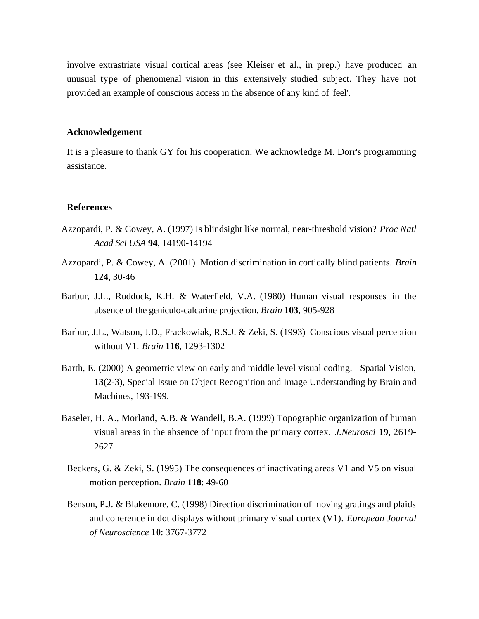involve extrastriate visual cortical areas (see Kleiser et al., in prep.) have produced an unusual type of phenomenal vision in this extensively studied subject. They have not provided an example of conscious access in the absence of any kind of 'feel'.

#### **Acknowledgement**

It is a pleasure to thank GY for his cooperation. We acknowledge M. Dorr's programming assistance.

#### **References**

- Azzopardi, P. & Cowey, A. (1997) Is blindsight like normal, near-threshold vision? *Proc Natl Acad Sci USA* **94**, 14190-14194
- Azzopardi, P. & Cowey, A. (2001) Motion discrimination in cortically blind patients. *Brain* **124**, 30-46
- Barbur, J.L., Ruddock, K.H. & Waterfield, V.A. (1980) Human visual responses in the absence of the geniculo-calcarine projection. *Brain* **103**, 905-928
- Barbur, J.L., Watson, J.D., Frackowiak, R.S.J. & Zeki, S. (1993) Conscious visual perception without V1. *Brain* **116**, 1293-1302
- Barth, E. (2000) A geometric view on early and middle level visual coding.Spatial Vision, **13**(2-3), Special Issue on Object Recognition and Image Understanding by Brain and Machines, 193-199.
- Baseler, H. A., Morland, A.B. & Wandell, B.A. (1999) Topographic organization of human visual areas in the absence of input from the primary cortex. *J.Neurosci* **19**, 2619- 2627
	- Beckers, G. & Zeki, S. (1995) The consequences of inactivating areas V1 and V5 on visual motion perception. *Brain* **118**: 49-60
	- Benson, P.J. & Blakemore, C. (1998) Direction discrimination of moving gratings and plaids and coherence in dot displays without primary visual cortex (V1). *European Journal of Neuroscience* **10**: 3767-3772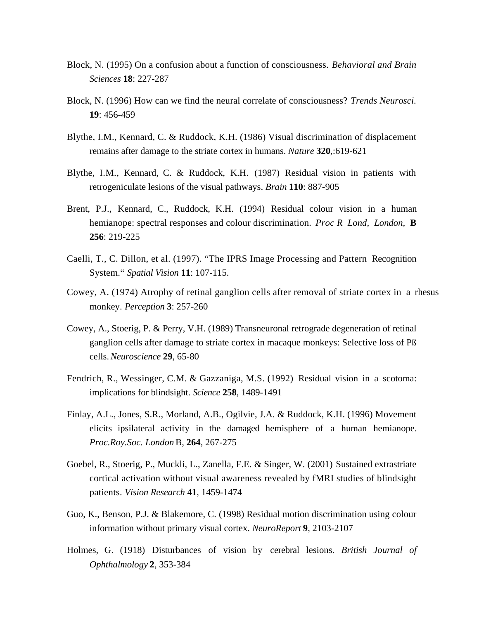- Block, N. (1995) On a confusion about a function of consciousness. *Behavioral and Brain Sciences* **18**: 227-287
- Block, N. (1996) How can we find the neural correlate of consciousness? *Trends Neurosci.* **19**: 456-459
- Blythe, I.M., Kennard, C. & Ruddock, K.H. (1986) Visual discrimination of displacement remains after damage to the striate cortex in humans. *Nature* **320**,:619-621
- Blythe, I.M., Kennard, C. & Ruddock, K.H. (1987) Residual vision in patients with retrogeniculate lesions of the visual pathways. *Brain* **110**: 887-905
- Brent, P.J., Kennard, C., Ruddock, K.H. (1994) Residual colour vision in a human hemianope: spectral responses and colour discrimination. *Proc R Lond, London,* **B 256**: 219-225
- Caelli, T., C. Dillon, et al. (1997). "The IPRS Image Processing and Pattern Recognition System." *Spatial Vision* **11**: 107-115.
- Cowey, A. (1974) Atrophy of retinal ganglion cells after removal of striate cortex in a rhesus monkey. *Perception* **3**: 257-260
- Cowey, A., Stoerig, P. & Perry, V.H. (1989) Transneuronal retrograde degeneration of retinal ganglion cells after damage to striate cortex in macaque monkeys: Selective loss of Pß cells. *Neuroscience* **29**, 65-80
- Fendrich, R., Wessinger, C.M. & Gazzaniga, M.S. (1992) Residual vision in a scotoma: implications for blindsight. *Science* **258**, 1489-1491
- Finlay, A.L., Jones, S.R., Morland, A.B., Ogilvie, J.A. & Ruddock, K.H. (1996) Movement elicits ipsilateral activity in the damaged hemisphere of a human hemianope. *Proc.Roy.Soc. London* B, **264**, 267-275
- Goebel, R., Stoerig, P., Muckli, L., Zanella, F.E. & Singer, W. (2001) Sustained extrastriate cortical activation without visual awareness revealed by fMRI studies of blindsight patients. *Vision Research* **41**, 1459-1474
- Guo, K., Benson, P.J. & Blakemore, C. (1998) Residual motion discrimination using colour information without primary visual cortex. *NeuroReport* **9**, 2103-2107
- Holmes, G. (1918) Disturbances of vision by cerebral lesions. *British Journal of Ophthalmology* **2**, 353-384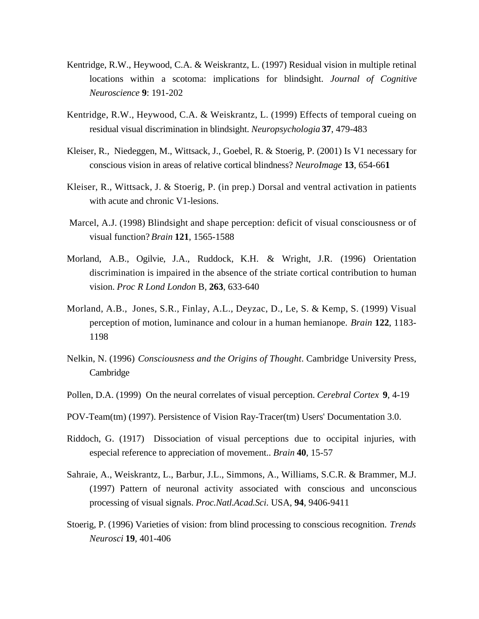- Kentridge, R.W., Heywood, C.A. & Weiskrantz, L. (1997) Residual vision in multiple retinal locations within a scotoma: implications for blindsight. *Journal of Cognitive Neuroscience* **9**: 191-202
- Kentridge, R.W., Heywood, C.A. & Weiskrantz, L. (1999) Effects of temporal cueing on residual visual discrimination in blindsight. *Neuropsychologia* **37**, 479-483
- Kleiser, R., Niedeggen, M., Wittsack, J., Goebel, R. & Stoerig, P. (2001) Is V1 necessary for conscious vision in areas of relative cortical blindness? *NeuroImage* **13**, 654-66**1**
- Kleiser, R., Wittsack, J. & Stoerig, P. (in prep.) Dorsal and ventral activation in patients with acute and chronic V1-lesions.
- Marcel, A.J. (1998) Blindsight and shape perception: deficit of visual consciousness or of visual function? *Brain* **121**, 1565-1588
- Morland, A.B., Ogilvie, J.A., Ruddock, K.H. & Wright, J.R. (1996) Orientation discrimination is impaired in the absence of the striate cortical contribution to human vision. *Proc R Lond London* B, **263**, 633-640
- Morland, A.B., Jones, S.R., Finlay, A.L., Deyzac, D., Le, S. & Kemp, S. (1999) Visual perception of motion, luminance and colour in a human hemianope. *Brain* **122**, 1183- 1198
- Nelkin, N. (1996) *Consciousness and the Origins of Thought*. Cambridge University Press, Cambridge
- Pollen, D.A. (1999) On the neural correlates of visual perception. *Cerebral Cortex* **9**, 4-19
- POV-Team(tm) (1997). Persistence of Vision Ray-Tracer(tm) Users' Documentation 3.0.
- Riddoch, G. (1917) Dissociation of visual perceptions due to occipital injuries, with especial reference to appreciation of movement.. *Brain* **40**, 15-57
- Sahraie, A., Weiskrantz, L., Barbur, J.L., Simmons, A., Williams, S.C.R. & Brammer, M.J. (1997) Pattern of neuronal activity associated with conscious and unconscious processing of visual signals. *Proc.Natl.Acad.Sci*. USA, **94**, 9406-9411
- Stoerig, P. (1996) Varieties of vision: from blind processing to conscious recognition. *Trends Neurosci* **19**, 401-406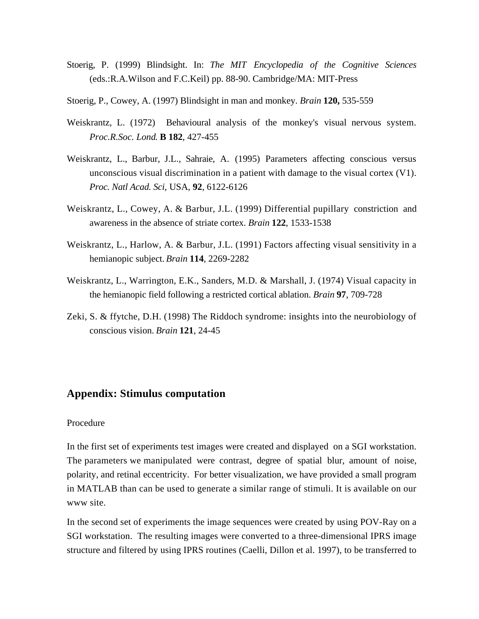- Stoerig, P. (1999) Blindsight. In: *The MIT Encyclopedia of the Cognitive Sciences* (eds.:R.A.Wilson and F.C.Keil) pp. 88-90. Cambridge/MA: MIT-Press
- Stoerig, P., Cowey, A. (1997) Blindsight in man and monkey. *Brain* **120,** 535-559
- Weiskrantz, L. (1972) Behavioural analysis of the monkey's visual nervous system. *Proc.R.Soc. Lond*. **B 182**, 427-455
- Weiskrantz, L., Barbur, J.L., Sahraie, A. (1995) Parameters affecting conscious versus unconscious visual discrimination in a patient with damage to the visual cortex (V1). *Proc. Natl Acad. Sci*, USA, **92**, 6122-6126
- Weiskrantz, L., Cowey, A. & Barbur, J.L. (1999) Differential pupillary constriction and awareness in the absence of striate cortex. *Brain* **122**, 1533-1538
- Weiskrantz, L., Harlow, A. & Barbur, J.L. (1991) Factors affecting visual sensitivity in a hemianopic subject. *Brain* **114**, 2269-2282
- Weiskrantz, L., Warrington, E.K., Sanders, M.D. & Marshall, J. (1974) Visual capacity in the hemianopic field following a restricted cortical ablation. *Brain* **97**, 709-728
- Zeki, S. & ffytche, D.H. (1998) The Riddoch syndrome: insights into the neurobiology of conscious vision. *Brain* **121**, 24-45

## **Appendix: Stimulus computation**

#### Procedure

In the first set of experiments test images were created and displayed on a SGI workstation. The parameters we manipulated were contrast, degree of spatial blur, amount of noise, polarity, and retinal eccentricity. For better visualization, we have provided a small program in MATLAB than can be used to generate a similar range of stimuli. It is available on our www site.

In the second set of experiments the image sequences were created by using POV-Ray on a SGI workstation. The resulting images were converted to a three-dimensional IPRS image structure and filtered by using IPRS routines (Caelli, Dillon et al. 1997), to be transferred to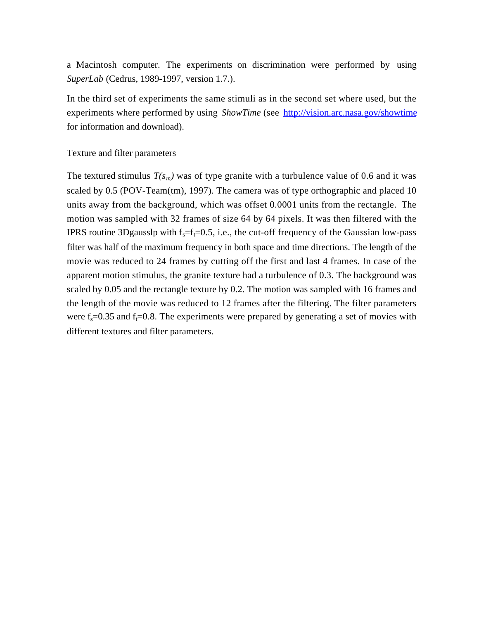a Macintosh computer. The experiments on discrimination were performed by using *SuperLab* (Cedrus, 1989-1997, version 1.7.).

In the third set of experiments the same stimuli as in the second set where used, but the experiments where performed by using *ShowTime* (see http://vision.arc.nasa.gov/showtime for information and download).

## Texture and filter parameters

The textured stimulus  $T(s_m)$  was of type granite with a turbulence value of 0.6 and it was scaled by 0.5 (POV-Team(tm), 1997). The camera was of type orthographic and placed 10 units away from the background, which was offset 0.0001 units from the rectangle. The motion was sampled with 32 frames of size 64 by 64 pixels. It was then filtered with the IPRS routine 3Dgausslp with  $f_s = f_t = 0.5$ , i.e., the cut-off frequency of the Gaussian low-pass filter was half of the maximum frequency in both space and time directions. The length of the movie was reduced to 24 frames by cutting off the first and last 4 frames. In case of the apparent motion stimulus, the granite texture had a turbulence of 0.3. The background was scaled by 0.05 and the rectangle texture by 0.2. The motion was sampled with 16 frames and the length of the movie was reduced to 12 frames after the filtering. The filter parameters were  $f_s = 0.35$  and  $f_t = 0.8$ . The experiments were prepared by generating a set of movies with different textures and filter parameters.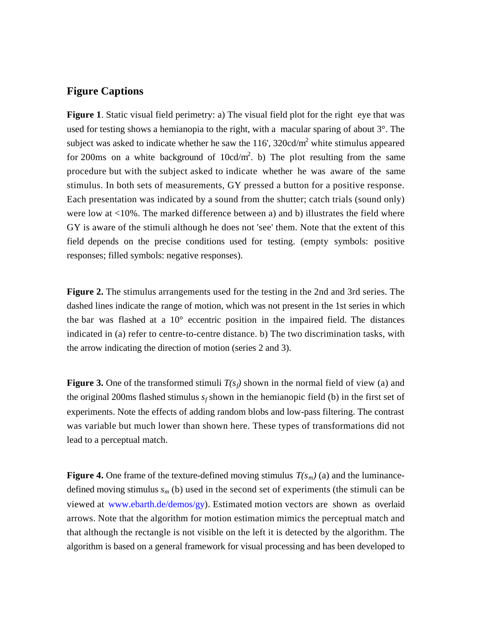## **Figure Captions**

**Figure 1.** Static visual field perimetry: a) The visual field plot for the right eye that was used for testing shows a hemianopia to the right, with a macular sparing of about 3°. The subject was asked to indicate whether he saw the  $116'$ ,  $320cd/m<sup>2</sup>$  white stimulus appeared for 200ms on a white background of  $10cd/m^2$ . b) The plot resulting from the same procedure but with the subject asked to indicate whether he was aware of the same stimulus. In both sets of measurements, GY pressed a button for a positive response. Each presentation was indicated by a sound from the shutter; catch trials (sound only) were low at <10%. The marked difference between a) and b) illustrates the field where GY is aware of the stimuli although he does not 'see' them. Note that the extent of this field depends on the precise conditions used for testing. (empty symbols: positive responses; filled symbols: negative responses).

**Figure 2.** The stimulus arrangements used for the testing in the 2nd and 3rd series. The dashed lines indicate the range of motion, which was not present in the 1st series in which the bar was flashed at a 10° eccentric position in the impaired field. The distances indicated in (a) refer to centre-to-centre distance. b) The two discrimination tasks, with the arrow indicating the direction of motion (series 2 and 3).

**Figure 3.** One of the transformed stimuli  $T(s_f)$  shown in the normal field of view (a) and the original 200ms flashed stimulus  $s_f$  shown in the hemianopic field (b) in the first set of experiments. Note the effects of adding random blobs and low-pass filtering. The contrast was variable but much lower than shown here. These types of transformations did not lead to a perceptual match.

**Figure 4.** One frame of the texture-defined moving stimulus  $T(s_m)(a)$  and the luminancedefined moving stimulus  $s_m$  (b) used in the second set of experiments (the stimuli can be viewed at www.ebarth.de/demos/gy). Estimated motion vectors are shown as overlaid arrows. Note that the algorithm for motion estimation mimics the perceptual match and that although the rectangle is not visible on the left it is detected by the algorithm. The algorithm is based on a general framework for visual processing and has been developed to